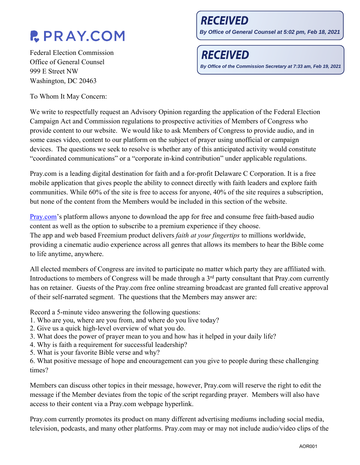## **P. PRAY.COM**

Federal Election Commission Office of General Counsel 999 E Street NW Washington, DC 20463

## RECEIVED

**By Office of General Counsel at 5:02 pm, Feb 18, 2021**

**RECEIVED By Office of the Commission Secretary at 7:33 am, Feb 19, 2021**

To Whom It May Concern:

 provide content to our website. We would like to ask Members of Congress to provide audio, and in devices. The questions we seek to resolve is whether any of this anticipated activity would constitute We write to respectfully request an Advisory Opinion regarding the application of the Federal Election Campaign Act and Commission regulations to prospective activities of Members of Congress who some cases video, content to our platform on the subject of prayer using unofficial or campaign "coordinated communications" or a "corporate in-kind contribution" under applicable regulations.

[Pray.com](https://Pray.com) is a leading digital destination for faith and a for-profit Delaware C Corporation. It is a free mobile application that gives people the ability to connect directly with faith leaders and explore faith communities. While 60% of the site is free to access for anyone, 40% of the site requires a subscription, but none of the content from the Members would be included in this section of the website.

content as well as the option to subscribe to a premium experience if they choose. Pray.com's platform allows anyone to download the app for free and consume free faith-based audio The app and web based Freemium product delivers *faith at your fingertips* to millions worldwide, providing a cinematic audio experience across all genres that allows its members to hear the Bible come to life anytime, anywhere.

 of their self-narrated segment. The questions that the Members may answer are: All elected members of Congress are invited to participate no matter which party they are affiliated with. Introductions to members of Congress will be made through a 3<sup>rd</sup> party consultant that [Pray.com](https://Pray.com) currently has on retainer. Guests of the [Pray.com](https://Pray.com) free online streaming broadcast are granted full creative approval

Record a 5-minute video answering the following questions:

- 1. Who are you, where are you from, and where do you live today?
- 2. Give us a quick high-level overview of what you do.
- 3. What does the power of prayer mean to you and how has it helped in your daily life?
- 4. Why is faith a requirement for successful leadership?
- 5. What is your favorite Bible verse and why?

6. What positive message of hope and encouragement can you give to people during these challenging times?

Members can discuss other topics in their message, however, [Pray.com](https://Pray.com) will reserve the right to edit the message if the Member deviates from the topic of the script regarding prayer. Members will also have access to their content via a [Pray.com](https://Pray.com) webpage hyperlink.

[Pray.com](https://Pray.com) currently promotes its product on many different advertising mediums including social media, television, podcasts, and many other platforms. [Pray.com](https://Pray.com) may or may not include audio/video clips of the